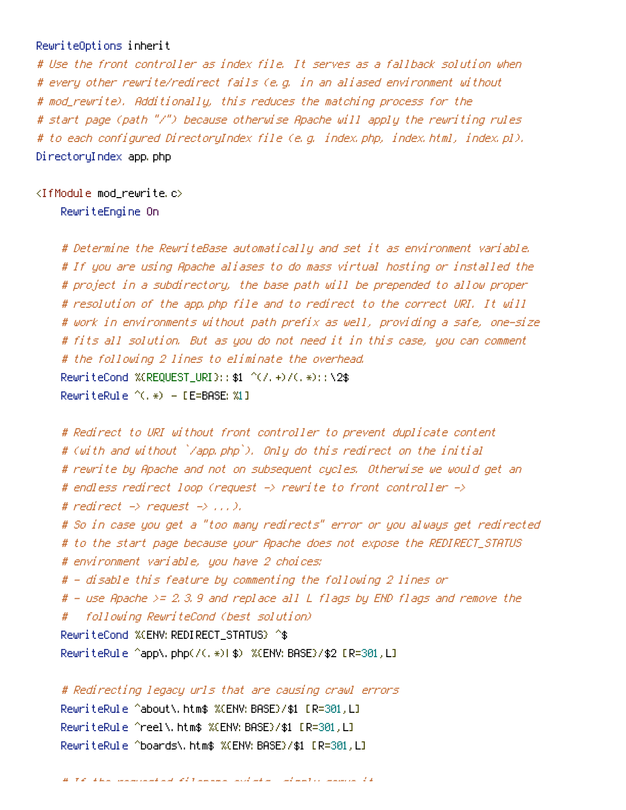## RewriteOptions inherit

# Use the front controller as index file. It serves as <sup>a</sup> fallback solution when # every other rewrite/redirect fails (e.g. in an aliased environment without # mod\_rewrite). Additionally, this reduces the matching process for the # start page (path "/") because otherwise Apache will apply the rewriting rules # to each configured DirectoryIndex file (e.g. index.php, index.html, index.pl). DirectoryIndex app.php

 $\triangleleft$ IfModule mod rewrite.c $>$ 

RewriteEngine On

# Determine the RewriteBase automatically and set it as environment variable. # If you are using Apache aliases to do mass virtual hosting or installed the # project in <sup>a</sup> subdirectory, the base path will be prepended to allow proper # resolution of the app.php file and to redirect to the correct URI. It will # work in environments without path prefix as well, providing <sup>a</sup> safe, one-size # fits all solution. But as you do not need it in this case, you can comment # the following 2 lines to eliminate the overhead. RewriteCond %{REQUEST\_URI}::\$1 ^(/.+)/(.\*)::\2\$ RewriteRule ^(.\*) - [E=BASE:%1]

```
# Redirect to URI without front controller to prevent duplicate content
# (with and without `/app.php`). Only do this redirect on the initial
# rewrite by Apache and not on subsequent cycles. Otherwise we would get an
# endless redirect loop (request -> rewrite to front controller ->
# redirect \rightarrow request \rightarrow \dots \rightarrow.
# So in case you get a "too many redirects" error or you always get redirected
# to the start page because your Apache does not expose the REDIRECT_STATUS
# environment variable, you have 2 choices:
# - disable this feature by commenting the following 2 lines or
# - use Apache >= 2.3.9 and replace all L flags by END flags and remove the
# following RewriteCond (best solution)
RewriteCond %{ENV:REDIRECT_STATUS} ^$
RewriteRule ^app\.php(/(.*)|$) %{ENV:BASE}/$2 [R=301,L]
```
# Redirecting legacy urls that are causing crawl errors RewriteRule ^about\.htm\$ %{ENV:BASE}/\$1 [R=301,L] RewriteRule ^reel\.htm\$ %{ENV:BASE}/\$1 [R=301,L] RewriteRule ^boards\.htm\$ %{ENV:BASE}/\$1 [R=301,L]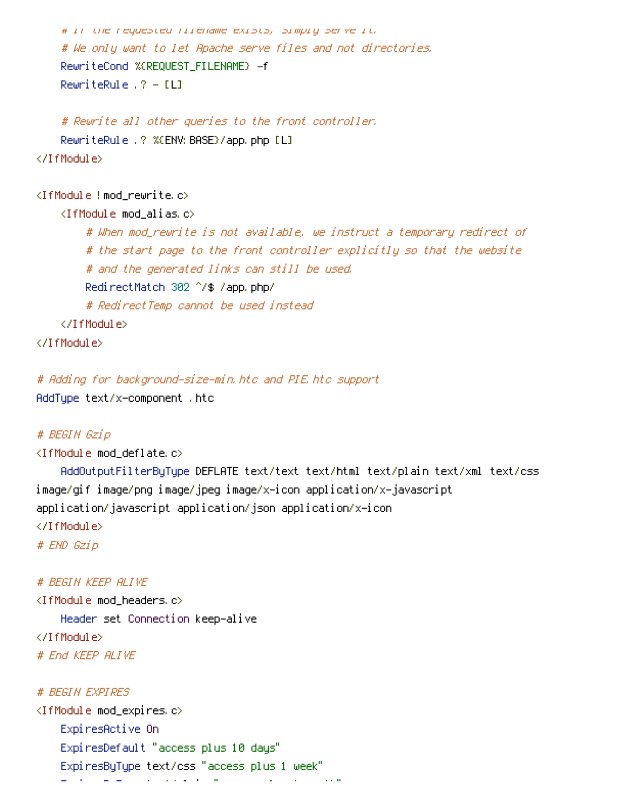```
# If the requested filename exists, simply serve it.
# We only want to let Apache serve files and not directories.
RewriteCond %{REQUEST_FILENAME} -f
RewriteRule .? - [L]
```
# Rewrite all other queries to the front controller. RewriteRule .? %{ENV: BASE}/app.php [L] </IfModule>

<IfModule !mod\_rewrite.c>

<IfModule mod\_alias.c>

# When mod\_rewrite is not available, we instruct <sup>a</sup> temporary redirect of # the start page to the front controller explicitly so that the website # and the generated links can still be used. RedirectMatch 302 ^/\$ /app.php/ # RedirectTemp cannot be used instead </IfModule>

</IfModule>

# Adding for background-size-min.htc and PIE.htc support AddType text/x-component .htc

## # BEGIN Gzip

<IfModule mod\_deflate.c>

AddOutputFilterByType DEFLATE text/text text/html text/plain text/xml text/css image/gif image/png image/jpeg image/x-icon application/x-javascript application/javascript application/json application/x-icon </IfModule> # END Gzip

# BEGIN KEEP ALIVE

<IfModule mod\_headers.c> Header set Connection keep-alive </IfModule> # End KEEP ALIVE

## # BEGIN EXPIRES

<IfModule mod\_expires.c> ExpiresActive On ExpiresDefault "access plus 10 days" ExpiresByType text/css "access plus 1 week" ExpiresByType text/plain "access plus 1 month"